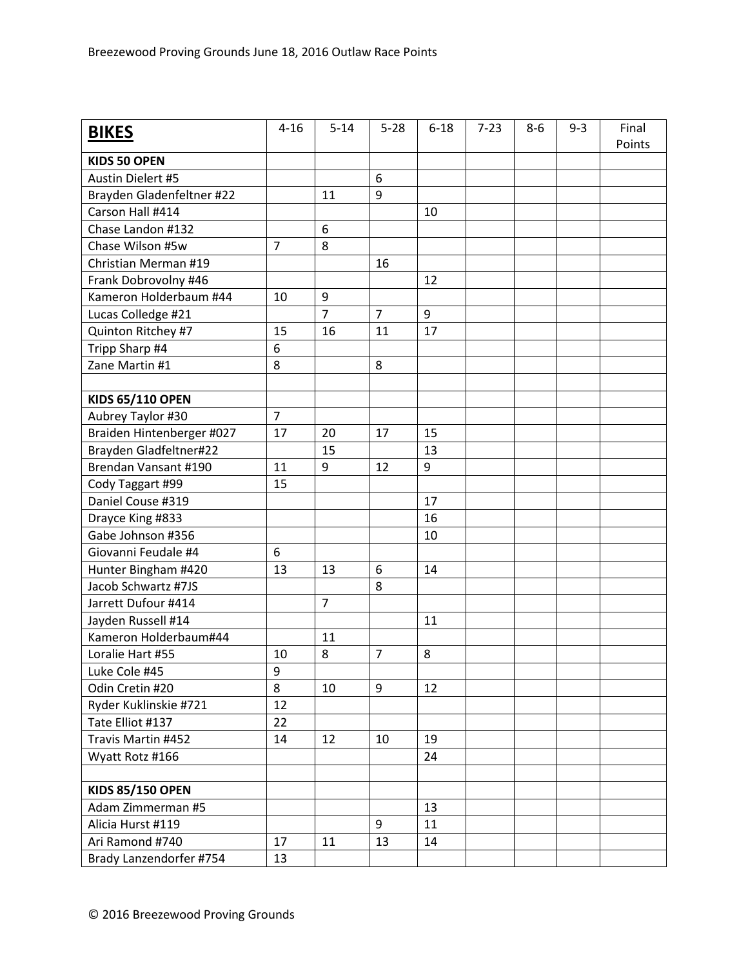| <b>BIKES</b>              | $4 - 16$       | $5 - 14$       | $5 - 28$       | $6 - 18$ | $7 - 23$ | $8-6$ | $9 - 3$ | Final<br>Points |
|---------------------------|----------------|----------------|----------------|----------|----------|-------|---------|-----------------|
| <b>KIDS 50 OPEN</b>       |                |                |                |          |          |       |         |                 |
| Austin Dielert #5         |                |                | 6              |          |          |       |         |                 |
| Brayden Gladenfeltner #22 |                | 11             | 9              |          |          |       |         |                 |
| Carson Hall #414          |                |                |                | 10       |          |       |         |                 |
| Chase Landon #132         |                | 6              |                |          |          |       |         |                 |
| Chase Wilson #5w          | $\overline{7}$ | 8              |                |          |          |       |         |                 |
| Christian Merman #19      |                |                | 16             |          |          |       |         |                 |
| Frank Dobrovolny #46      |                |                |                | 12       |          |       |         |                 |
| Kameron Holderbaum #44    | 10             | 9              |                |          |          |       |         |                 |
| Lucas Colledge #21        |                | $\overline{7}$ | $\overline{7}$ | 9        |          |       |         |                 |
| Quinton Ritchey #7        | 15             | 16             | 11             | 17       |          |       |         |                 |
| Tripp Sharp #4            | 6              |                |                |          |          |       |         |                 |
| Zane Martin #1            | 8              |                | 8              |          |          |       |         |                 |
|                           |                |                |                |          |          |       |         |                 |
| <b>KIDS 65/110 OPEN</b>   |                |                |                |          |          |       |         |                 |
| Aubrey Taylor #30         | $\overline{7}$ |                |                |          |          |       |         |                 |
| Braiden Hintenberger #027 | 17             | 20             | 17             | 15       |          |       |         |                 |
| Brayden Gladfeltner#22    |                | 15             |                | 13       |          |       |         |                 |
| Brendan Vansant #190      | 11             | 9              | 12             | 9        |          |       |         |                 |
| Cody Taggart #99          | 15             |                |                |          |          |       |         |                 |
| Daniel Couse #319         |                |                |                | 17       |          |       |         |                 |
| Drayce King #833          |                |                |                | 16       |          |       |         |                 |
| Gabe Johnson #356         |                |                |                | 10       |          |       |         |                 |
| Giovanni Feudale #4       | 6              |                |                |          |          |       |         |                 |
| Hunter Bingham #420       | 13             | 13             | 6              | 14       |          |       |         |                 |
| Jacob Schwartz #7JS       |                |                | 8              |          |          |       |         |                 |
| Jarrett Dufour #414       |                | $\overline{7}$ |                |          |          |       |         |                 |
| Jayden Russell #14        |                |                |                | 11       |          |       |         |                 |
| Kameron Holderbaum#44     |                | 11             |                |          |          |       |         |                 |
| Loralie Hart #55          | 10             | 8              | $\overline{7}$ | 8        |          |       |         |                 |
| Luke Cole #45             | 9              |                |                |          |          |       |         |                 |
| Odin Cretin #20           | 8              | 10             | 9              | 12       |          |       |         |                 |
| Ryder Kuklinskie #721     | 12             |                |                |          |          |       |         |                 |
| Tate Elliot #137          | 22             |                |                |          |          |       |         |                 |
| Travis Martin #452        | 14             | 12             | 10             | 19       |          |       |         |                 |
| Wyatt Rotz #166           |                |                |                | 24       |          |       |         |                 |
|                           |                |                |                |          |          |       |         |                 |
| <b>KIDS 85/150 OPEN</b>   |                |                |                |          |          |       |         |                 |
| Adam Zimmerman #5         |                |                |                | 13       |          |       |         |                 |
| Alicia Hurst #119         |                |                | 9              | 11       |          |       |         |                 |
| Ari Ramond #740           | 17             | 11             | 13             | 14       |          |       |         |                 |
| Brady Lanzendorfer #754   | 13             |                |                |          |          |       |         |                 |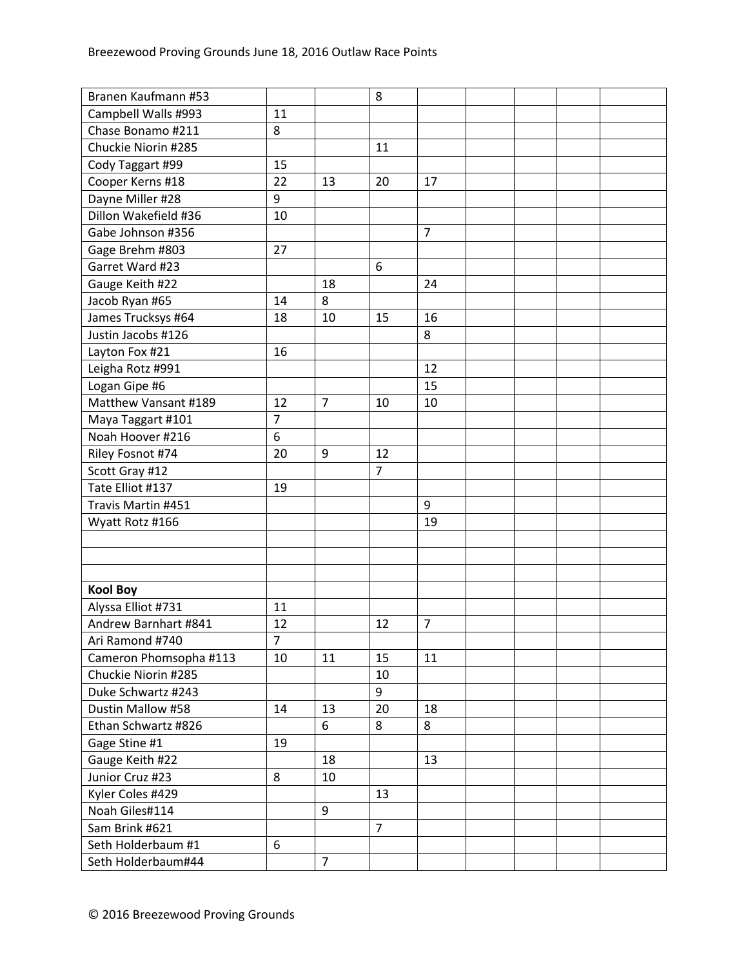| Branen Kaufmann #53    |                |                | 8              |                |  |  |
|------------------------|----------------|----------------|----------------|----------------|--|--|
| Campbell Walls #993    | 11             |                |                |                |  |  |
| Chase Bonamo #211      | 8              |                |                |                |  |  |
| Chuckie Niorin #285    |                |                | 11             |                |  |  |
| Cody Taggart #99       | 15             |                |                |                |  |  |
| Cooper Kerns #18       | 22             | 13             | 20             | 17             |  |  |
| Dayne Miller #28       | 9              |                |                |                |  |  |
| Dillon Wakefield #36   | 10             |                |                |                |  |  |
| Gabe Johnson #356      |                |                |                | $\overline{7}$ |  |  |
| Gage Brehm #803        | 27             |                |                |                |  |  |
| Garret Ward #23        |                |                | 6              |                |  |  |
| Gauge Keith #22        |                | 18             |                | 24             |  |  |
| Jacob Ryan #65         | 14             | 8              |                |                |  |  |
| James Trucksys #64     | 18             | 10             | 15             | 16             |  |  |
| Justin Jacobs #126     |                |                |                | 8              |  |  |
| Layton Fox #21         | 16             |                |                |                |  |  |
| Leigha Rotz #991       |                |                |                | 12             |  |  |
| Logan Gipe #6          |                |                |                | 15             |  |  |
| Matthew Vansant #189   | 12             | $\overline{7}$ | 10             | 10             |  |  |
| Maya Taggart #101      | $\overline{7}$ |                |                |                |  |  |
| Noah Hoover #216       | 6              |                |                |                |  |  |
| Riley Fosnot #74       | 20             | 9              | 12             |                |  |  |
| Scott Gray #12         |                |                | $\overline{7}$ |                |  |  |
| Tate Elliot #137       | 19             |                |                |                |  |  |
| Travis Martin #451     |                |                |                | 9              |  |  |
| Wyatt Rotz #166        |                |                |                | 19             |  |  |
|                        |                |                |                |                |  |  |
|                        |                |                |                |                |  |  |
|                        |                |                |                |                |  |  |
| <b>Kool Boy</b>        |                |                |                |                |  |  |
| Alyssa Elliot #731     | 11             |                |                |                |  |  |
| Andrew Barnhart #841   | 12             |                | 12             | $\overline{7}$ |  |  |
| Ari Ramond #740        | $\overline{7}$ |                |                |                |  |  |
| Cameron Phomsopha #113 | 10             | 11             | 15             | 11             |  |  |
| Chuckie Niorin #285    |                |                | 10             |                |  |  |
| Duke Schwartz #243     |                |                | 9              |                |  |  |
| Dustin Mallow #58      | 14             | 13             | 20             | 18             |  |  |
| Ethan Schwartz #826    |                | 6              | 8              | 8              |  |  |
| Gage Stine #1          | 19             |                |                |                |  |  |
| Gauge Keith #22        |                | 18             |                | 13             |  |  |
| Junior Cruz #23        | 8              | 10             |                |                |  |  |
| Kyler Coles #429       |                |                | 13             |                |  |  |
| Noah Giles#114         |                | 9              |                |                |  |  |
| Sam Brink #621         |                |                | $\overline{7}$ |                |  |  |
| Seth Holderbaum #1     | 6              |                |                |                |  |  |
| Seth Holderbaum#44     |                | $\overline{7}$ |                |                |  |  |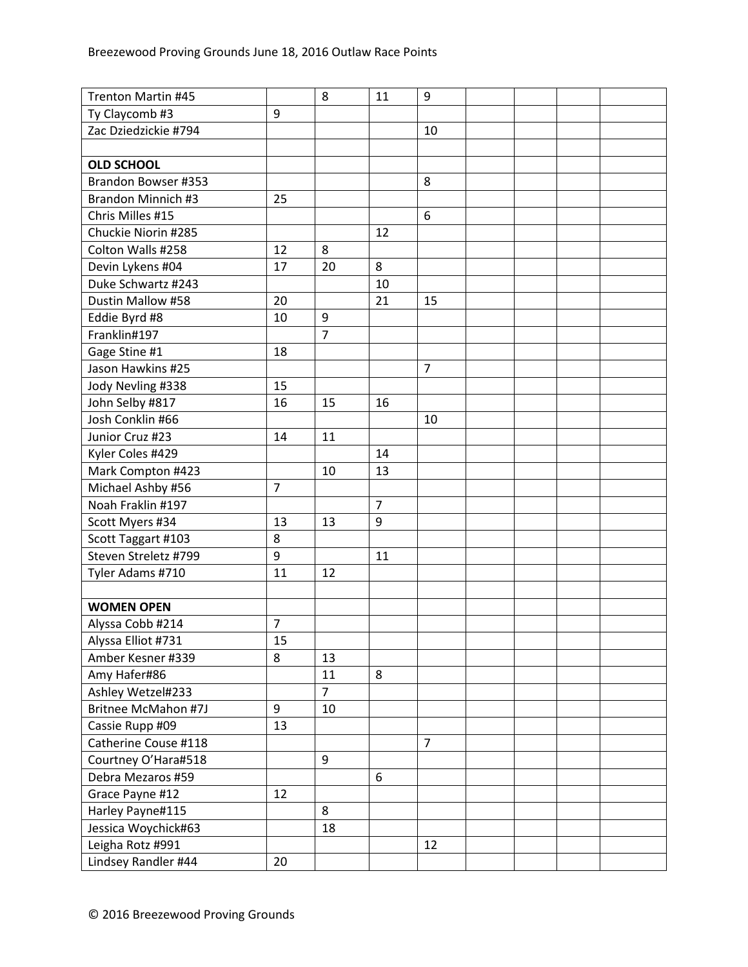| Trenton Martin #45         |                | 8              | 11             | 9              |  |  |
|----------------------------|----------------|----------------|----------------|----------------|--|--|
| Ty Claycomb #3             | 9              |                |                |                |  |  |
| Zac Dziedzickie #794       |                |                |                | 10             |  |  |
|                            |                |                |                |                |  |  |
| <b>OLD SCHOOL</b>          |                |                |                |                |  |  |
| Brandon Bowser #353        |                |                |                | 8              |  |  |
| Brandon Minnich #3         | 25             |                |                |                |  |  |
| Chris Milles #15           |                |                |                | 6              |  |  |
| Chuckie Niorin #285        |                |                | 12             |                |  |  |
| Colton Walls #258          | 12             | 8              |                |                |  |  |
| Devin Lykens #04           | 17             | 20             | 8              |                |  |  |
| Duke Schwartz #243         |                |                | 10             |                |  |  |
| Dustin Mallow #58          | 20             |                | 21             | 15             |  |  |
| Eddie Byrd #8              | 10             | 9              |                |                |  |  |
| Franklin#197               |                | $\overline{7}$ |                |                |  |  |
| Gage Stine #1              | 18             |                |                |                |  |  |
| Jason Hawkins #25          |                |                |                | $\overline{7}$ |  |  |
| Jody Nevling #338          | 15             |                |                |                |  |  |
| John Selby #817            | 16             | 15             | 16             |                |  |  |
| Josh Conklin #66           |                |                |                | 10             |  |  |
| Junior Cruz #23            | 14             | 11             |                |                |  |  |
| Kyler Coles #429           |                |                | 14             |                |  |  |
| Mark Compton #423          |                | 10             | 13             |                |  |  |
| Michael Ashby #56          | $\overline{7}$ |                |                |                |  |  |
| Noah Fraklin #197          |                |                | $\overline{7}$ |                |  |  |
| Scott Myers #34            | 13             | 13             | 9              |                |  |  |
| Scott Taggart #103         | 8              |                |                |                |  |  |
| Steven Streletz #799       | 9              |                | 11             |                |  |  |
| Tyler Adams #710           | 11             | 12             |                |                |  |  |
|                            |                |                |                |                |  |  |
| <b>WOMEN OPEN</b>          |                |                |                |                |  |  |
| Alyssa Cobb #214           | $\overline{7}$ |                |                |                |  |  |
| Alyssa Elliot #731         | 15             |                |                |                |  |  |
| Amber Kesner #339          | 8              | 13             |                |                |  |  |
| Amy Hafer#86               |                | 11             | 8              |                |  |  |
| Ashley Wetzel#233          |                | $\overline{7}$ |                |                |  |  |
| <b>Britnee McMahon #7J</b> | 9              | 10             |                |                |  |  |
| Cassie Rupp #09            | 13             |                |                |                |  |  |
| Catherine Couse #118       |                |                |                | $\overline{7}$ |  |  |
| Courtney O'Hara#518        |                | 9              |                |                |  |  |
| Debra Mezaros #59          |                |                | 6              |                |  |  |
| Grace Payne #12            | 12             |                |                |                |  |  |
| Harley Payne#115           |                | 8              |                |                |  |  |
| Jessica Woychick#63        |                | 18             |                |                |  |  |
| Leigha Rotz #991           |                |                |                | 12             |  |  |
| Lindsey Randler #44        | 20             |                |                |                |  |  |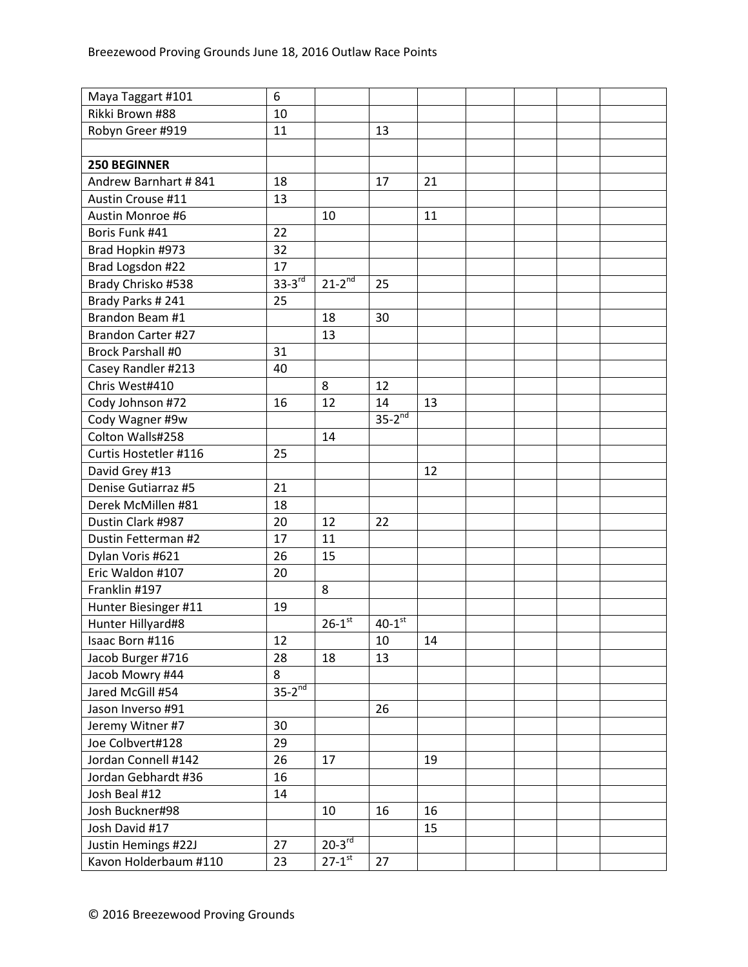| Maya Taggart #101         | 6           |                          |                      |    |  |  |
|---------------------------|-------------|--------------------------|----------------------|----|--|--|
| Rikki Brown #88           | 10          |                          |                      |    |  |  |
| Robyn Greer #919          | 11          |                          | 13                   |    |  |  |
|                           |             |                          |                      |    |  |  |
| <b>250 BEGINNER</b>       |             |                          |                      |    |  |  |
| Andrew Barnhart #841      | 18          |                          | 17                   | 21 |  |  |
| Austin Crouse #11         | 13          |                          |                      |    |  |  |
| Austin Monroe #6          |             | 10                       |                      | 11 |  |  |
| Boris Funk #41            | 22          |                          |                      |    |  |  |
| Brad Hopkin #973          | 32          |                          |                      |    |  |  |
| Brad Logsdon #22          | 17          |                          |                      |    |  |  |
| Brady Chrisko #538        | $33-3^{rd}$ | $21 - 2^{\overline{nd}}$ | 25                   |    |  |  |
| Brady Parks #241          | 25          |                          |                      |    |  |  |
| Brandon Beam #1           |             | 18                       | 30                   |    |  |  |
| <b>Brandon Carter #27</b> |             | 13                       |                      |    |  |  |
| <b>Brock Parshall #0</b>  | 31          |                          |                      |    |  |  |
| Casey Randler #213        | 40          |                          |                      |    |  |  |
| Chris West#410            |             | 8                        | 12                   |    |  |  |
| Cody Johnson #72          | 16          | 12                       | 14                   | 13 |  |  |
| Cody Wagner #9w           |             |                          | $35-2^{nd}$          |    |  |  |
| Colton Walls#258          |             | 14                       |                      |    |  |  |
| Curtis Hostetler #116     | 25          |                          |                      |    |  |  |
| David Grey #13            |             |                          |                      | 12 |  |  |
| Denise Gutiarraz #5       | 21          |                          |                      |    |  |  |
| Derek McMillen #81        | 18          |                          |                      |    |  |  |
| Dustin Clark #987         | 20          | 12                       | 22                   |    |  |  |
| Dustin Fetterman #2       | 17          | 11                       |                      |    |  |  |
| Dylan Voris #621          | 26          | 15                       |                      |    |  |  |
| Eric Waldon #107          | 20          |                          |                      |    |  |  |
| Franklin #197             |             | 8                        |                      |    |  |  |
| Hunter Biesinger #11      | 19          |                          |                      |    |  |  |
| Hunter Hillyard#8         |             | $26 - 1$ <sup>st</sup>   | $40-1$ <sup>st</sup> |    |  |  |
| Isaac Born #116           | 12          |                          | 10                   | 14 |  |  |
| Jacob Burger #716         | 28          | 18                       | 13                   |    |  |  |
| Jacob Mowry #44           | 8           |                          |                      |    |  |  |
| Jared McGill #54          | $35-2^{nd}$ |                          |                      |    |  |  |
| Jason Inverso #91         |             |                          | 26                   |    |  |  |
| Jeremy Witner #7          | 30          |                          |                      |    |  |  |
| Joe Colbvert#128          | 29          |                          |                      |    |  |  |
| Jordan Connell #142       | 26          | 17                       |                      | 19 |  |  |
| Jordan Gebhardt #36       | 16          |                          |                      |    |  |  |
| Josh Beal #12             | 14          |                          |                      |    |  |  |
| Josh Buckner#98           |             | 10                       | 16                   | 16 |  |  |
| Josh David #17            |             |                          |                      | 15 |  |  |
| Justin Hemings #22J       | 27          | $20-3$ <sup>rd</sup>     |                      |    |  |  |
| Kavon Holderbaum #110     | 23          | $27 - 1^{st}$            | 27                   |    |  |  |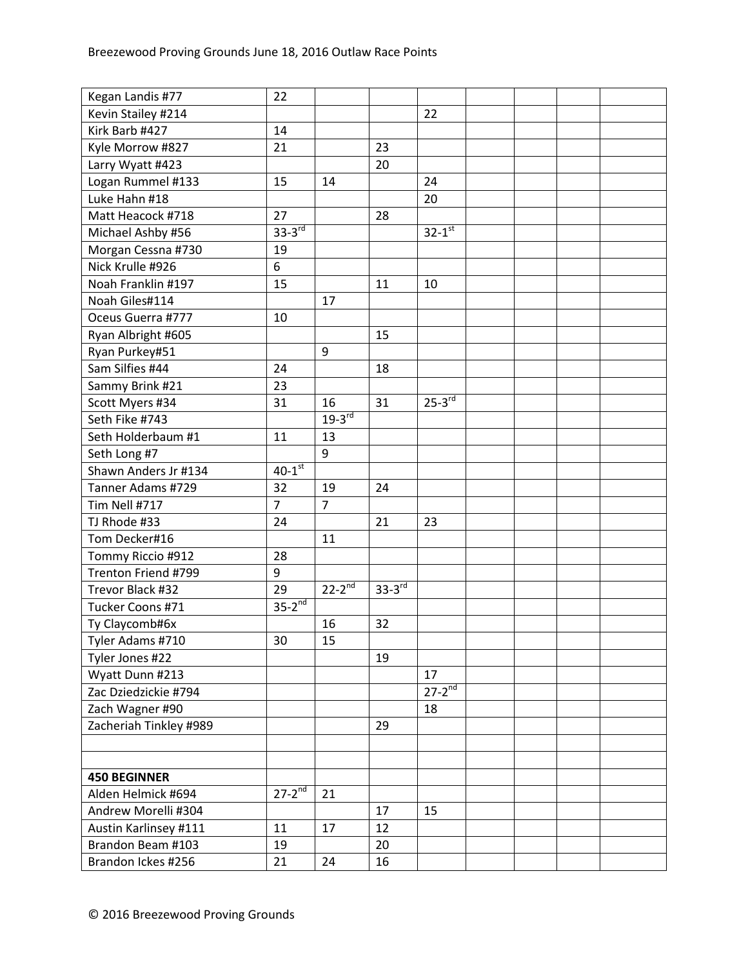| Kegan Landis #77       | 22                   |                |               |                      |  |  |
|------------------------|----------------------|----------------|---------------|----------------------|--|--|
| Kevin Stailey #214     |                      |                |               | 22                   |  |  |
| Kirk Barb #427         | 14                   |                |               |                      |  |  |
| Kyle Morrow #827       | 21                   |                | 23            |                      |  |  |
| Larry Wyatt #423       |                      |                | 20            |                      |  |  |
| Logan Rummel #133      | 15                   | 14             |               | 24                   |  |  |
| Luke Hahn #18          |                      |                |               | 20                   |  |  |
| Matt Heacock #718      | 27                   |                | 28            |                      |  |  |
| Michael Ashby #56      | $33-3rd$             |                |               | $32-1$ <sup>st</sup> |  |  |
| Morgan Cessna #730     | 19                   |                |               |                      |  |  |
| Nick Krulle #926       | 6                    |                |               |                      |  |  |
| Noah Franklin #197     | 15                   |                | 11            | 10                   |  |  |
| Noah Giles#114         |                      | 17             |               |                      |  |  |
| Oceus Guerra #777      | 10                   |                |               |                      |  |  |
| Ryan Albright #605     |                      |                | 15            |                      |  |  |
| Ryan Purkey#51         |                      | 9              |               |                      |  |  |
| Sam Silfies #44        | 24                   |                | 18            |                      |  |  |
| Sammy Brink #21        | 23                   |                |               |                      |  |  |
| Scott Myers #34        | 31                   | 16             | 31            | $25-3$ <sup>rd</sup> |  |  |
| Seth Fike #743         |                      | $19-3^{rd}$    |               |                      |  |  |
| Seth Holderbaum #1     | 11                   | 13             |               |                      |  |  |
| Seth Long #7           |                      | 9              |               |                      |  |  |
| Shawn Anders Jr #134   | $40-1$ <sup>st</sup> |                |               |                      |  |  |
| Tanner Adams #729      | 32                   | 19             | 24            |                      |  |  |
| Tim Nell #717          | $\overline{7}$       | $\overline{7}$ |               |                      |  |  |
| TJ Rhode #33           | 24                   |                | 21            | 23                   |  |  |
| Tom Decker#16          |                      | 11             |               |                      |  |  |
| Tommy Riccio #912      | 28                   |                |               |                      |  |  |
| Trenton Friend #799    | 9                    |                |               |                      |  |  |
| Trevor Black #32       | 29                   | $22 - 2^{nd}$  | $33 - 3^{rd}$ |                      |  |  |
| Tucker Coons #71       | $35-2^{nd}$          |                |               |                      |  |  |
| Ty Claycomb#6x         |                      | 16             | 32            |                      |  |  |
| Tyler Adams #710       | 30                   | 15             |               |                      |  |  |
| Tyler Jones #22        |                      |                | 19            |                      |  |  |
| Wyatt Dunn #213        |                      |                |               | 17                   |  |  |
| Zac Dziedzickie #794   |                      |                |               | $27 - 2^{nd}$        |  |  |
| Zach Wagner #90        |                      |                |               | 18                   |  |  |
| Zacheriah Tinkley #989 |                      |                | 29            |                      |  |  |
|                        |                      |                |               |                      |  |  |
|                        |                      |                |               |                      |  |  |
| <b>450 BEGINNER</b>    |                      |                |               |                      |  |  |
| Alden Helmick #694     | $27-2^{nd}$          | 21             |               |                      |  |  |
| Andrew Morelli #304    |                      |                | 17            | 15                   |  |  |
| Austin Karlinsey #111  | 11                   | 17             | 12            |                      |  |  |
| Brandon Beam #103      | 19                   |                | 20            |                      |  |  |
| Brandon Ickes #256     | 21                   | 24             | 16            |                      |  |  |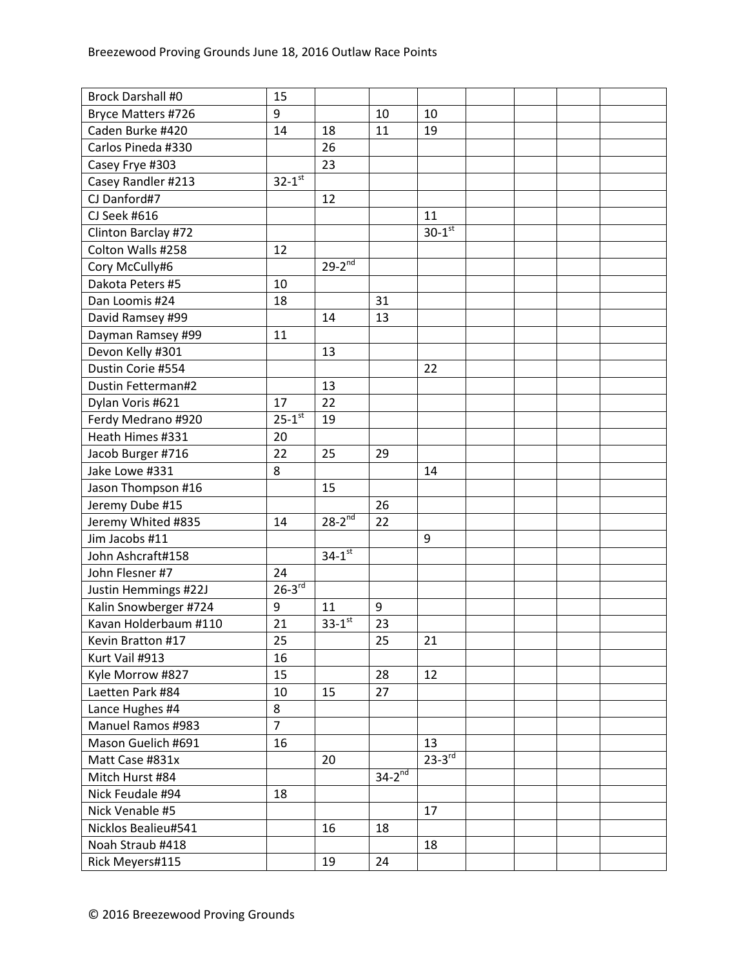| <b>Brock Darshall #0</b>                       | 15                     |                      |                        |                      |  |  |
|------------------------------------------------|------------------------|----------------------|------------------------|----------------------|--|--|
| Bryce Matters #726                             | 9                      |                      | 10                     | 10                   |  |  |
| Caden Burke #420                               | 14                     | 18                   | 11                     | 19                   |  |  |
| Carlos Pineda #330                             |                        | 26                   |                        |                      |  |  |
| Casey Frye #303                                |                        | 23                   |                        |                      |  |  |
| Casey Randler #213                             | $32 - 1$ <sup>st</sup> |                      |                        |                      |  |  |
| CJ Danford#7                                   |                        | 12                   |                        |                      |  |  |
| CJ Seek #616                                   |                        |                      |                        | 11                   |  |  |
| Clinton Barclay #72                            |                        |                      |                        | $30-1$ <sup>st</sup> |  |  |
| Colton Walls #258                              | 12                     |                      |                        |                      |  |  |
| Cory McCully#6                                 |                        | $29-2^{nd}$          |                        |                      |  |  |
| Dakota Peters #5                               | 10                     |                      |                        |                      |  |  |
| Dan Loomis #24                                 | 18                     |                      | 31                     |                      |  |  |
| David Ramsey #99                               |                        | 14                   | 13                     |                      |  |  |
| Dayman Ramsey #99                              | 11                     |                      |                        |                      |  |  |
| Devon Kelly #301                               |                        | 13                   |                        |                      |  |  |
| Dustin Corie #554                              |                        |                      |                        | 22                   |  |  |
| <b>Dustin Fetterman#2</b>                      |                        | 13                   |                        |                      |  |  |
| Dylan Voris #621                               | 17                     | 22                   |                        |                      |  |  |
| Ferdy Medrano #920                             | $25 - 1^{st}$          | 19                   |                        |                      |  |  |
| Heath Himes #331                               | 20                     |                      |                        |                      |  |  |
| Jacob Burger #716                              | 22                     | 25                   | 29                     |                      |  |  |
| Jake Lowe #331                                 | 8                      |                      |                        | 14                   |  |  |
| Jason Thompson #16                             |                        | 15                   |                        |                      |  |  |
| Jeremy Dube #15                                |                        |                      | 26                     |                      |  |  |
| Jeremy Whited #835                             | 14                     | $28 - 2^{nd}$        | 22                     |                      |  |  |
| Jim Jacobs #11                                 |                        |                      |                        | 9                    |  |  |
| John Ashcraft#158                              |                        | $34-1$ <sup>st</sup> |                        |                      |  |  |
| John Flesner #7                                | 24                     |                      |                        |                      |  |  |
|                                                | $26-3^{rd}$            |                      |                        |                      |  |  |
| Justin Hemmings #22J                           | 9                      |                      | 9                      |                      |  |  |
| Kalin Snowberger #724<br>Kavan Holderbaum #110 | 21                     | 11<br>$33 - 1^{st}$  |                        |                      |  |  |
|                                                |                        |                      | 23                     |                      |  |  |
| Kevin Bratton #17                              | 25                     |                      | 25                     | 21                   |  |  |
| Kurt Vail #913                                 | 16                     |                      |                        |                      |  |  |
| Kyle Morrow #827                               | 15                     |                      | 28                     | 12                   |  |  |
| Laetten Park #84                               | 10                     | 15                   | 27                     |                      |  |  |
| Lance Hughes #4                                | 8                      |                      |                        |                      |  |  |
| Manuel Ramos #983                              | $\overline{7}$         |                      |                        |                      |  |  |
| Mason Guelich #691                             | 16                     |                      |                        | 13                   |  |  |
| Matt Case #831x                                |                        | 20                   |                        | $23-3^{rd}$          |  |  |
| Mitch Hurst #84                                |                        |                      | $34-2^{\overline{nd}}$ |                      |  |  |
| Nick Feudale #94                               | 18                     |                      |                        |                      |  |  |
| Nick Venable #5                                |                        |                      |                        | 17                   |  |  |
| Nicklos Bealieu#541                            |                        | 16                   | 18                     |                      |  |  |
| Noah Straub #418                               |                        |                      |                        | 18                   |  |  |
| Rick Meyers#115                                |                        | 19                   | 24                     |                      |  |  |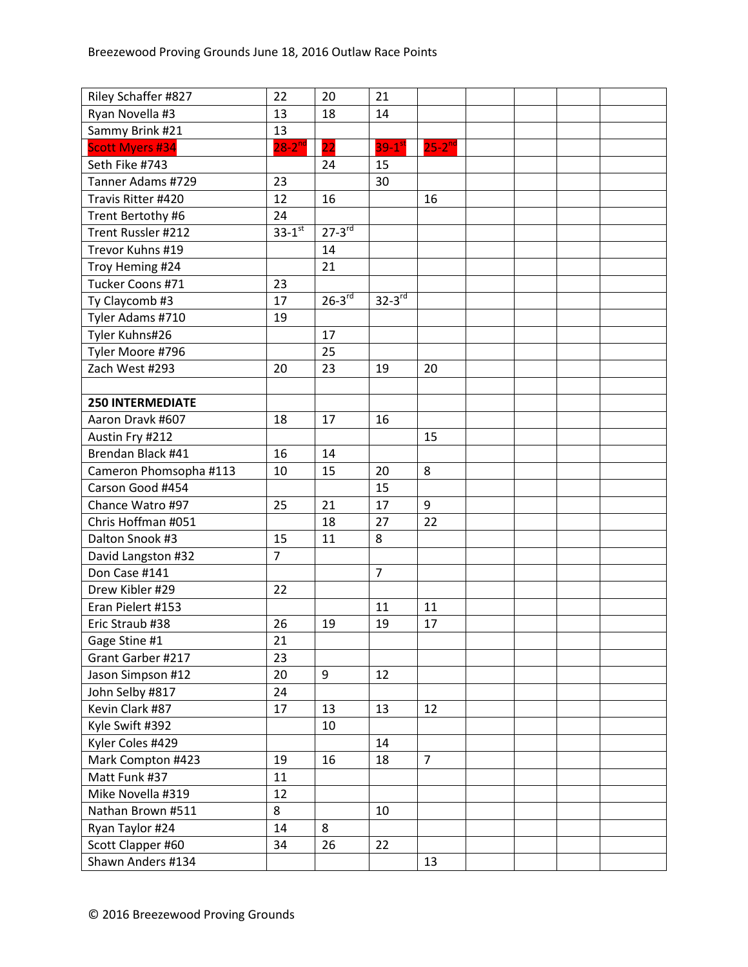| Riley Schaffer #827     | 22                     | 20          | 21                   |                |  |  |
|-------------------------|------------------------|-------------|----------------------|----------------|--|--|
| Ryan Novella #3         | 13                     | 18          | 14                   |                |  |  |
| Sammy Brink #21         | 13                     |             |                      |                |  |  |
| <b>Scott Myers #34</b>  | $28 - 2^{nd}$          | 22          | $39-1$ <sup>st</sup> | $25 - 2^{nd}$  |  |  |
| Seth Fike #743          |                        | 24          | 15                   |                |  |  |
| Tanner Adams #729       | 23                     |             | 30                   |                |  |  |
| Travis Ritter #420      | 12                     | 16          |                      | 16             |  |  |
| Trent Bertothy #6       | 24                     |             |                      |                |  |  |
| Trent Russler #212      | $33 - 1$ <sup>st</sup> | $27-3^{rd}$ |                      |                |  |  |
| Trevor Kuhns #19        |                        | 14          |                      |                |  |  |
| Troy Heming #24         |                        | 21          |                      |                |  |  |
| Tucker Coons #71        | 23                     |             |                      |                |  |  |
| Ty Claycomb #3          | 17                     | $26 - 3$ rd | $32-3^{rd}$          |                |  |  |
| Tyler Adams #710        | 19                     |             |                      |                |  |  |
| Tyler Kuhns#26          |                        | 17          |                      |                |  |  |
| Tyler Moore #796        |                        | 25          |                      |                |  |  |
| Zach West #293          | 20                     | 23          | 19                   | 20             |  |  |
|                         |                        |             |                      |                |  |  |
| <b>250 INTERMEDIATE</b> |                        |             |                      |                |  |  |
| Aaron Dravk #607        | 18                     | 17          | 16                   |                |  |  |
| Austin Fry #212         |                        |             |                      | 15             |  |  |
| Brendan Black #41       | 16                     | 14          |                      |                |  |  |
| Cameron Phomsopha #113  | 10                     | 15          | 20                   | 8              |  |  |
| Carson Good #454        |                        |             | 15                   |                |  |  |
| Chance Watro #97        | 25                     | 21          | 17                   | 9              |  |  |
| Chris Hoffman #051      |                        | 18          | 27                   | 22             |  |  |
| Dalton Snook #3         | 15                     | 11          | 8                    |                |  |  |
| David Langston #32      | $\overline{7}$         |             |                      |                |  |  |
| Don Case #141           |                        |             | $\overline{7}$       |                |  |  |
| Drew Kibler #29         | 22                     |             |                      |                |  |  |
| Eran Pielert #153       |                        |             | 11                   | 11             |  |  |
| Eric Straub #38         | 26                     | 19          | 19                   | 17             |  |  |
| Gage Stine #1           | 21                     |             |                      |                |  |  |
| Grant Garber #217       | 23                     |             |                      |                |  |  |
| Jason Simpson #12       | 20                     | 9           | 12                   |                |  |  |
| John Selby #817         | 24                     |             |                      |                |  |  |
| Kevin Clark #87         | 17                     | 13          | 13                   | 12             |  |  |
| Kyle Swift #392         |                        | 10          |                      |                |  |  |
| Kyler Coles #429        |                        |             | 14                   |                |  |  |
| Mark Compton #423       | 19                     | 16          | 18                   | $\overline{7}$ |  |  |
| Matt Funk #37           | 11                     |             |                      |                |  |  |
| Mike Novella #319       | 12                     |             |                      |                |  |  |
| Nathan Brown #511       | 8                      |             | 10                   |                |  |  |
| Ryan Taylor #24         | 14                     | 8           |                      |                |  |  |
| Scott Clapper #60       | 34                     | 26          | 22                   |                |  |  |
| Shawn Anders #134       |                        |             |                      | 13             |  |  |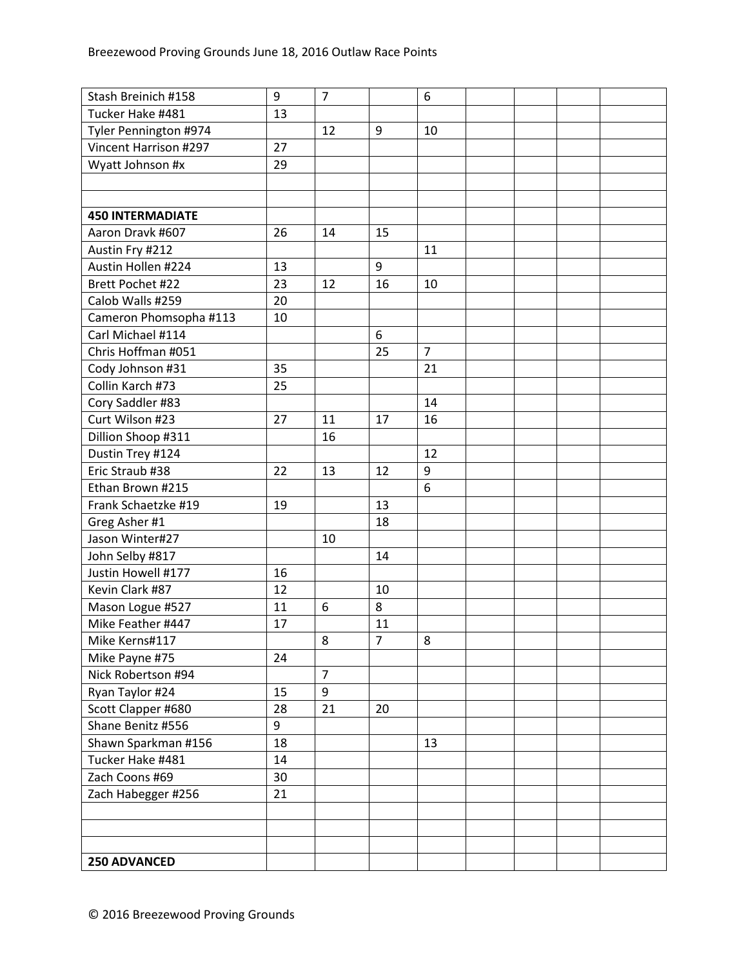| Stash Breinich #158     | 9  | $\overline{7}$ |                | 6              |  |  |
|-------------------------|----|----------------|----------------|----------------|--|--|
| Tucker Hake #481        | 13 |                |                |                |  |  |
| Tyler Pennington #974   |    | 12             | $9\,$          | 10             |  |  |
| Vincent Harrison #297   | 27 |                |                |                |  |  |
| Wyatt Johnson #x        | 29 |                |                |                |  |  |
|                         |    |                |                |                |  |  |
|                         |    |                |                |                |  |  |
| <b>450 INTERMADIATE</b> |    |                |                |                |  |  |
| Aaron Dravk #607        | 26 | 14             | 15             |                |  |  |
| Austin Fry #212         |    |                |                | 11             |  |  |
| Austin Hollen #224      | 13 |                | 9              |                |  |  |
| Brett Pochet #22        | 23 | 12             | 16             | 10             |  |  |
| Calob Walls #259        | 20 |                |                |                |  |  |
| Cameron Phomsopha #113  | 10 |                |                |                |  |  |
| Carl Michael #114       |    |                | 6              |                |  |  |
| Chris Hoffman #051      |    |                | 25             | $\overline{7}$ |  |  |
| Cody Johnson #31        | 35 |                |                | 21             |  |  |
| Collin Karch #73        | 25 |                |                |                |  |  |
| Cory Saddler #83        |    |                |                | 14             |  |  |
| Curt Wilson #23         | 27 | 11             | 17             | 16             |  |  |
| Dillion Shoop #311      |    | 16             |                |                |  |  |
| Dustin Trey #124        |    |                |                | 12             |  |  |
| Eric Straub #38         | 22 | 13             | 12             | 9              |  |  |
| Ethan Brown #215        |    |                |                | 6              |  |  |
| Frank Schaetzke #19     | 19 |                | 13             |                |  |  |
| Greg Asher #1           |    |                | 18             |                |  |  |
| Jason Winter#27         |    | 10             |                |                |  |  |
| John Selby #817         |    |                | 14             |                |  |  |
| Justin Howell #177      | 16 |                |                |                |  |  |
| Kevin Clark #87         | 12 |                | 10             |                |  |  |
| Mason Logue #527        | 11 | 6              | 8              |                |  |  |
| Mike Feather #447       | 17 |                | 11             |                |  |  |
| Mike Kerns#117          |    | 8              | $\overline{7}$ | 8              |  |  |
| Mike Payne #75          | 24 |                |                |                |  |  |
| Nick Robertson #94      |    | $\overline{7}$ |                |                |  |  |
| Ryan Taylor #24         | 15 | 9              |                |                |  |  |
| Scott Clapper #680      | 28 | 21             | 20             |                |  |  |
| Shane Benitz #556       | 9  |                |                |                |  |  |
| Shawn Sparkman #156     | 18 |                |                | 13             |  |  |
| Tucker Hake #481        | 14 |                |                |                |  |  |
| Zach Coons #69          | 30 |                |                |                |  |  |
| Zach Habegger #256      | 21 |                |                |                |  |  |
|                         |    |                |                |                |  |  |
|                         |    |                |                |                |  |  |
|                         |    |                |                |                |  |  |
| <b>250 ADVANCED</b>     |    |                |                |                |  |  |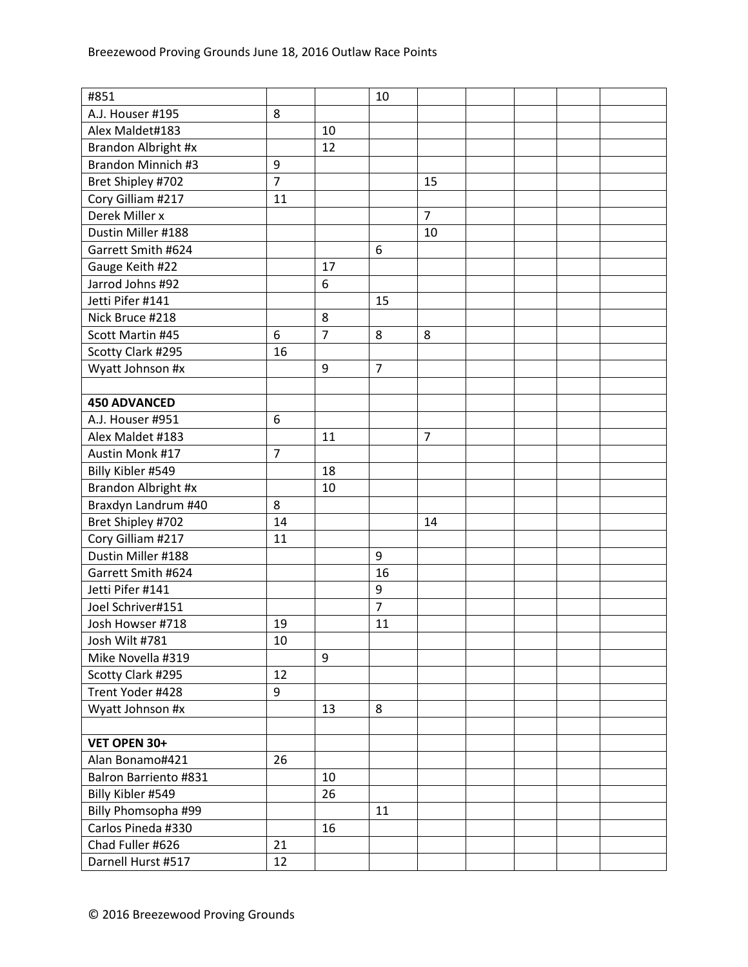| #851                      |                |                | 10             |                |  |  |
|---------------------------|----------------|----------------|----------------|----------------|--|--|
| A.J. Houser #195          | 8              |                |                |                |  |  |
| Alex Maldet#183           |                | 10             |                |                |  |  |
| Brandon Albright #x       |                | 12             |                |                |  |  |
| <b>Brandon Minnich #3</b> | 9              |                |                |                |  |  |
| Bret Shipley #702         | $\overline{7}$ |                |                | 15             |  |  |
| Cory Gilliam #217         | 11             |                |                |                |  |  |
| Derek Miller x            |                |                |                | $\overline{7}$ |  |  |
| Dustin Miller #188        |                |                |                | 10             |  |  |
| Garrett Smith #624        |                |                | 6              |                |  |  |
| Gauge Keith #22           |                | 17             |                |                |  |  |
| Jarrod Johns #92          |                | 6              |                |                |  |  |
| Jetti Pifer #141          |                |                | 15             |                |  |  |
| Nick Bruce #218           |                | 8              |                |                |  |  |
| Scott Martin #45          | 6              | $\overline{7}$ | 8              | 8              |  |  |
| Scotty Clark #295         | 16             |                |                |                |  |  |
| Wyatt Johnson #x          |                | 9              | $\overline{7}$ |                |  |  |
|                           |                |                |                |                |  |  |
| <b>450 ADVANCED</b>       |                |                |                |                |  |  |
| A.J. Houser #951          | 6              |                |                |                |  |  |
| Alex Maldet #183          |                | 11             |                | $\overline{7}$ |  |  |
| Austin Monk #17           | $\overline{7}$ |                |                |                |  |  |
| Billy Kibler #549         |                | 18             |                |                |  |  |
| Brandon Albright #x       |                | 10             |                |                |  |  |
| Braxdyn Landrum #40       | 8              |                |                |                |  |  |
| Bret Shipley #702         | 14             |                |                | 14             |  |  |
| Cory Gilliam #217         | 11             |                |                |                |  |  |
| Dustin Miller #188        |                |                | 9              |                |  |  |
| Garrett Smith #624        |                |                | 16             |                |  |  |
| Jetti Pifer #141          |                |                | 9              |                |  |  |
| Joel Schriver#151         |                |                | $\overline{7}$ |                |  |  |
| Josh Howser #718          | 19             |                | 11             |                |  |  |
| Josh Wilt #781            | 10             |                |                |                |  |  |
| Mike Novella #319         |                | 9              |                |                |  |  |
| Scotty Clark #295         | 12             |                |                |                |  |  |
| Trent Yoder #428          | 9              |                |                |                |  |  |
| Wyatt Johnson #x          |                | 13             | 8              |                |  |  |
|                           |                |                |                |                |  |  |
| VET OPEN 30+              |                |                |                |                |  |  |
| Alan Bonamo#421           | 26             |                |                |                |  |  |
| Balron Barriento #831     |                | 10             |                |                |  |  |
| Billy Kibler #549         |                | 26             |                |                |  |  |
| Billy Phomsopha #99       |                |                | 11             |                |  |  |
| Carlos Pineda #330        |                | 16             |                |                |  |  |
| Chad Fuller #626          | 21             |                |                |                |  |  |
| Darnell Hurst #517        | 12             |                |                |                |  |  |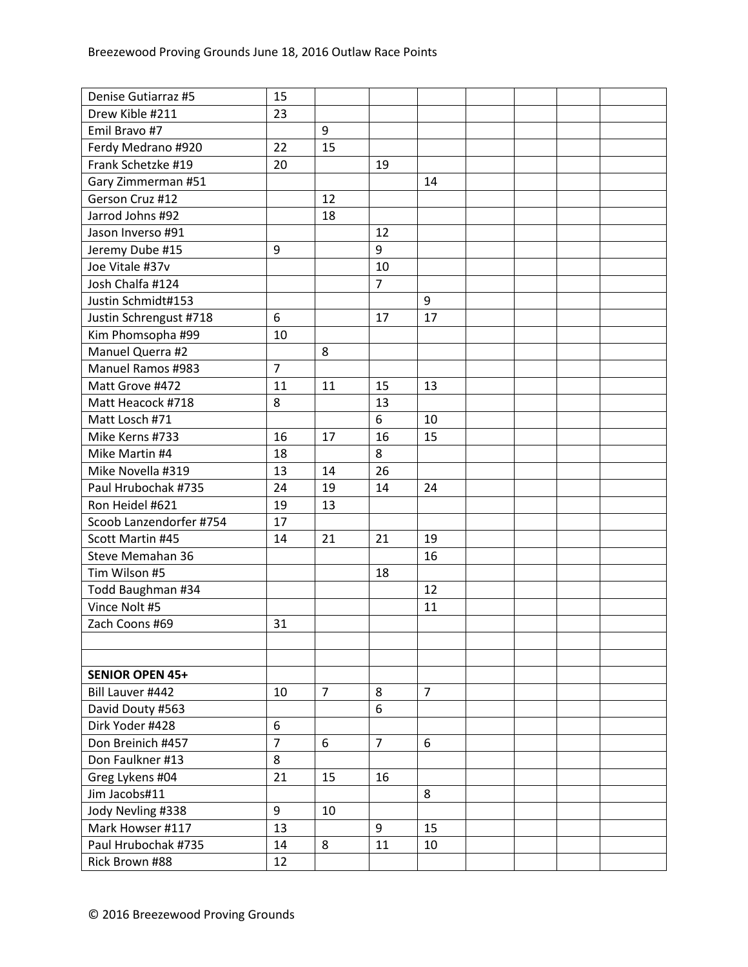| Denise Gutiarraz #5     | 15             |                |                |                |  |  |
|-------------------------|----------------|----------------|----------------|----------------|--|--|
| Drew Kible #211         | 23             |                |                |                |  |  |
| Emil Bravo #7           |                | 9              |                |                |  |  |
| Ferdy Medrano #920      | 22             | 15             |                |                |  |  |
| Frank Schetzke #19      | 20             |                | 19             |                |  |  |
| Gary Zimmerman #51      |                |                |                | 14             |  |  |
| Gerson Cruz #12         |                | 12             |                |                |  |  |
| Jarrod Johns #92        |                | 18             |                |                |  |  |
| Jason Inverso #91       |                |                | 12             |                |  |  |
| Jeremy Dube #15         | 9              |                | 9              |                |  |  |
| Joe Vitale #37v         |                |                | 10             |                |  |  |
| Josh Chalfa #124        |                |                | $\overline{7}$ |                |  |  |
| Justin Schmidt#153      |                |                |                | 9              |  |  |
| Justin Schrengust #718  | 6              |                | 17             | 17             |  |  |
| Kim Phomsopha #99       | 10             |                |                |                |  |  |
| Manuel Querra #2        |                | 8              |                |                |  |  |
| Manuel Ramos #983       | $\overline{7}$ |                |                |                |  |  |
| Matt Grove #472         | 11             | 11             | 15             | 13             |  |  |
| Matt Heacock #718       | 8              |                | 13             |                |  |  |
| Matt Losch #71          |                |                | 6              | 10             |  |  |
| Mike Kerns #733         | 16             | 17             | 16             | 15             |  |  |
| Mike Martin #4          | 18             |                | 8              |                |  |  |
| Mike Novella #319       | 13             | 14             | 26             |                |  |  |
| Paul Hrubochak #735     | 24             | 19             | 14             | 24             |  |  |
| Ron Heidel #621         | 19             | 13             |                |                |  |  |
| Scoob Lanzendorfer #754 | 17             |                |                |                |  |  |
| Scott Martin #45        | 14             | 21             | 21             | 19             |  |  |
| Steve Memahan 36        |                |                |                | 16             |  |  |
| Tim Wilson #5           |                |                | 18             |                |  |  |
| Todd Baughman #34       |                |                |                | 12             |  |  |
| Vince Nolt #5           |                |                |                | 11             |  |  |
| Zach Coons #69          | 31             |                |                |                |  |  |
|                         |                |                |                |                |  |  |
|                         |                |                |                |                |  |  |
| <b>SENIOR OPEN 45+</b>  |                |                |                |                |  |  |
| Bill Lauver #442        | 10             | $\overline{7}$ | 8              | $\overline{7}$ |  |  |
| David Douty #563        |                |                | 6              |                |  |  |
| Dirk Yoder #428         | 6              |                |                |                |  |  |
| Don Breinich #457       | $\overline{7}$ | 6              | $\overline{7}$ | 6              |  |  |
| Don Faulkner #13        | 8              |                |                |                |  |  |
| Greg Lykens #04         | 21             | 15             | 16             |                |  |  |
| Jim Jacobs#11           |                |                |                | 8              |  |  |
| Jody Nevling #338       | 9              | 10             |                |                |  |  |
| Mark Howser #117        | 13             |                | 9              | 15             |  |  |
| Paul Hrubochak #735     | 14             | 8              | 11             | 10             |  |  |
| Rick Brown #88          | 12             |                |                |                |  |  |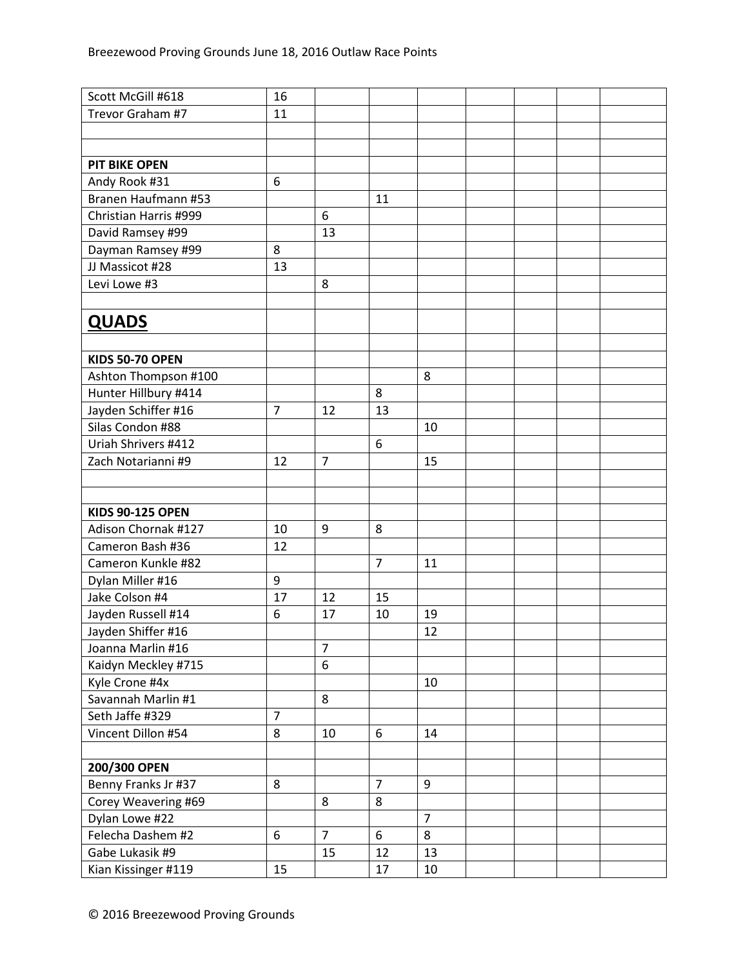| Scott McGill #618                        | 16             |                |                |                |  |  |
|------------------------------------------|----------------|----------------|----------------|----------------|--|--|
| Trevor Graham #7                         | 11             |                |                |                |  |  |
|                                          |                |                |                |                |  |  |
|                                          |                |                |                |                |  |  |
| <b>PIT BIKE OPEN</b>                     |                |                |                |                |  |  |
| Andy Rook #31                            | 6              |                |                |                |  |  |
| Branen Haufmann #53                      |                |                | 11             |                |  |  |
| Christian Harris #999                    |                | 6              |                |                |  |  |
| David Ramsey #99                         |                | 13             |                |                |  |  |
| Dayman Ramsey #99                        | 8              |                |                |                |  |  |
| JJ Massicot #28                          | 13             |                |                |                |  |  |
| Levi Lowe #3                             |                | 8              |                |                |  |  |
|                                          |                |                |                |                |  |  |
| <b>QUADS</b>                             |                |                |                |                |  |  |
|                                          |                |                |                |                |  |  |
| <b>KIDS 50-70 OPEN</b>                   |                |                |                |                |  |  |
|                                          |                |                |                |                |  |  |
| Ashton Thompson #100                     |                |                | 8              | 8              |  |  |
| Hunter Hillbury #414                     | $\overline{7}$ |                |                |                |  |  |
| Jayden Schiffer #16<br>Silas Condon #88  |                | 12             | 13             |                |  |  |
| Uriah Shrivers #412                      |                |                |                | 10             |  |  |
|                                          |                |                | 6              |                |  |  |
| Zach Notarianni #9                       | 12             | $\overline{7}$ |                | 15             |  |  |
|                                          |                |                |                |                |  |  |
| <b>KIDS 90-125 OPEN</b>                  |                |                |                |                |  |  |
| Adison Chornak #127                      |                |                |                |                |  |  |
| Cameron Bash #36                         | 10<br>12       | 9              | 8              |                |  |  |
| Cameron Kunkle #82                       |                |                | $\overline{7}$ | 11             |  |  |
|                                          | 9              |                |                |                |  |  |
| Dylan Miller #16<br>Jake Colson #4       | 17             | 12             | 15             |                |  |  |
| Jayden Russell #14                       | 6              | 17             | 10             | 19             |  |  |
| Jayden Shiffer #16                       |                |                |                | 12             |  |  |
|                                          |                | $\overline{7}$ |                |                |  |  |
| Joanna Marlin #16<br>Kaidyn Meckley #715 |                | 6              |                |                |  |  |
| Kyle Crone #4x                           |                |                |                | 10             |  |  |
| Savannah Marlin #1                       |                | 8              |                |                |  |  |
| Seth Jaffe #329                          | $\overline{7}$ |                |                |                |  |  |
| Vincent Dillon #54                       | 8              | 10             | 6              | 14             |  |  |
|                                          |                |                |                |                |  |  |
| 200/300 OPEN                             |                |                |                |                |  |  |
| Benny Franks Jr #37                      | 8              |                | $\overline{7}$ | 9              |  |  |
| Corey Weavering #69                      |                | 8              | 8              |                |  |  |
| Dylan Lowe #22                           |                |                |                | $\overline{7}$ |  |  |
| Felecha Dashem #2                        | 6              | $\overline{7}$ | 6              | 8              |  |  |
| Gabe Lukasik #9                          |                | 15             | 12             |                |  |  |
|                                          |                |                |                | 13             |  |  |
| Kian Kissinger #119                      | 15             |                | 17             | 10             |  |  |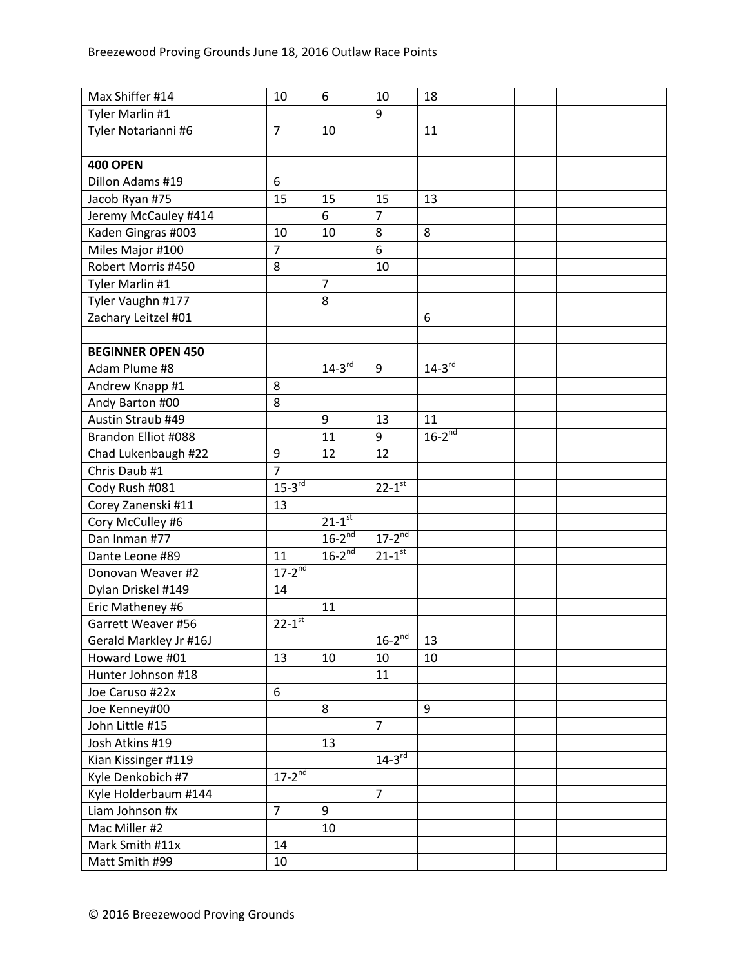| Max Shiffer #14          | 10                   | 6                    | 10                     | 18            |  |  |
|--------------------------|----------------------|----------------------|------------------------|---------------|--|--|
| Tyler Marlin #1          |                      |                      | 9                      |               |  |  |
| Tyler Notarianni #6      | $\overline{7}$       | 10                   |                        | 11            |  |  |
|                          |                      |                      |                        |               |  |  |
| <b>400 OPEN</b>          |                      |                      |                        |               |  |  |
| Dillon Adams #19         | 6                    |                      |                        |               |  |  |
| Jacob Ryan #75           | 15                   | 15                   | 15                     | 13            |  |  |
| Jeremy McCauley #414     |                      | 6                    | $\overline{7}$         |               |  |  |
| Kaden Gingras #003       | 10                   | 10                   | 8                      | 8             |  |  |
| Miles Major #100         | $\overline{7}$       |                      | 6                      |               |  |  |
| Robert Morris #450       | 8                    |                      | 10                     |               |  |  |
| Tyler Marlin #1          |                      | $\overline{7}$       |                        |               |  |  |
| Tyler Vaughn #177        |                      | 8                    |                        |               |  |  |
| Zachary Leitzel #01      |                      |                      |                        | 6             |  |  |
|                          |                      |                      |                        |               |  |  |
| <b>BEGINNER OPEN 450</b> |                      |                      |                        |               |  |  |
| Adam Plume #8            |                      | $14-3^{rd}$          | 9                      | $14 - 3^{rd}$ |  |  |
| Andrew Knapp #1          | 8                    |                      |                        |               |  |  |
| Andy Barton #00          | 8                    |                      |                        |               |  |  |
| Austin Straub #49        |                      | 9                    | 13                     | 11            |  |  |
| Brandon Elliot #088      |                      | 11                   | 9                      | $16-2^{nd}$   |  |  |
| Chad Lukenbaugh #22      | $\boldsymbol{9}$     | 12                   | 12                     |               |  |  |
| Chris Daub #1            | $\overline{7}$       |                      |                        |               |  |  |
| Cody Rush #081           | $15 - 3$ rd          |                      | $22 - 1$ <sup>st</sup> |               |  |  |
| Corey Zanenski #11       | 13                   |                      |                        |               |  |  |
| Cory McCulley #6         |                      | $21-1$ <sup>st</sup> |                        |               |  |  |
| Dan Inman #77            |                      | $16-2^{nd}$          | $17 - 2^{nd}$          |               |  |  |
| Dante Leone #89          | 11                   | $16-2^{nd}$          | $21 - 1^{st}$          |               |  |  |
| Donovan Weaver #2        | $17 - 2^{nd}$        |                      |                        |               |  |  |
| Dylan Driskel #149       | 14                   |                      |                        |               |  |  |
| Eric Matheney #6         |                      | 11                   |                        |               |  |  |
| Garrett Weaver #56       | $22 - 1^{st}$        |                      |                        |               |  |  |
| Gerald Markley Jr #16J   |                      |                      | $16-2^{nd}$            | 13            |  |  |
| Howard Lowe #01          | 13                   | 10                   | 10                     | 10            |  |  |
| Hunter Johnson #18       |                      |                      | 11                     |               |  |  |
| Joe Caruso #22x          | 6                    |                      |                        |               |  |  |
| Joe Kenney#00            |                      | 8                    |                        | 9             |  |  |
| John Little #15          |                      |                      | $\overline{7}$         |               |  |  |
| Josh Atkins #19          |                      | 13                   |                        |               |  |  |
| Kian Kissinger #119      |                      |                      | $14-3^{rd}$            |               |  |  |
| Kyle Denkobich #7        | $17-2$ <sup>nd</sup> |                      |                        |               |  |  |
| Kyle Holderbaum #144     |                      |                      | $\overline{7}$         |               |  |  |
| Liam Johnson #x          | $\overline{7}$       | 9                    |                        |               |  |  |
| Mac Miller #2            |                      | 10                   |                        |               |  |  |
| Mark Smith #11x          | 14                   |                      |                        |               |  |  |
| Matt Smith #99           | 10                   |                      |                        |               |  |  |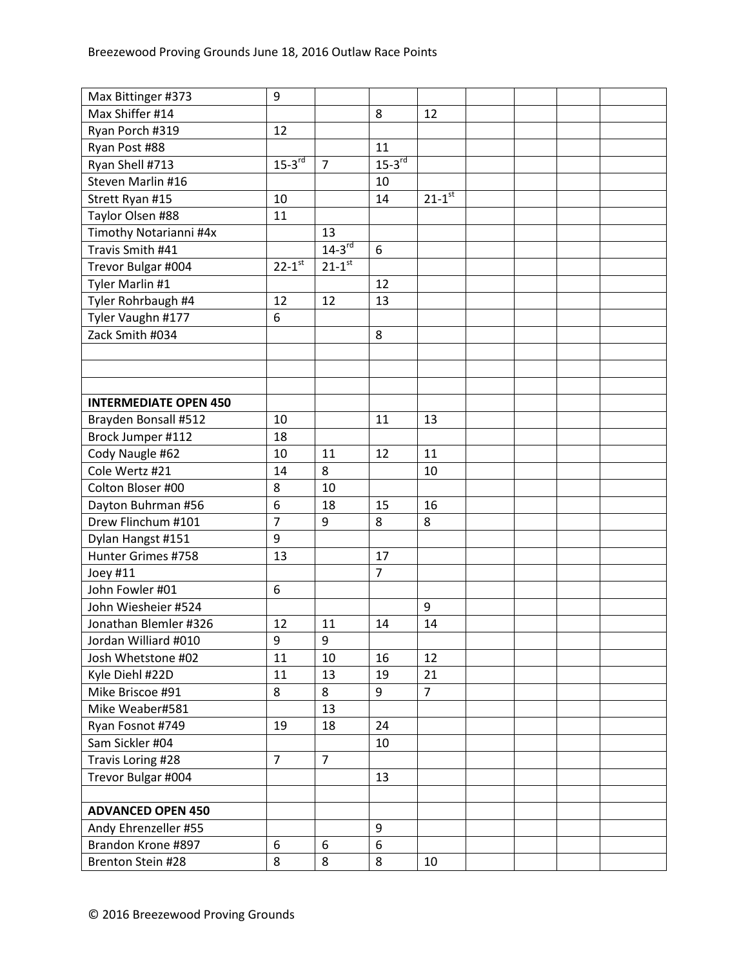| Max Bittinger #373           | 9                      |                      |                      |                |  |  |
|------------------------------|------------------------|----------------------|----------------------|----------------|--|--|
| Max Shiffer #14              |                        |                      | 8                    | 12             |  |  |
| Ryan Porch #319              | 12                     |                      |                      |                |  |  |
| Ryan Post #88                |                        |                      | 11                   |                |  |  |
| Ryan Shell #713              | $15-3^{rd}$            | $\overline{7}$       | $15-3$ <sup>rd</sup> |                |  |  |
| Steven Marlin #16            |                        |                      | 10                   |                |  |  |
| Strett Ryan #15              | 10                     |                      | 14                   | $21-1$ st      |  |  |
| Taylor Olsen #88             | 11                     |                      |                      |                |  |  |
| Timothy Notarianni #4x       |                        | 13                   |                      |                |  |  |
| Travis Smith #41             |                        | $14-3$ <sup>rd</sup> | 6                    |                |  |  |
| Trevor Bulgar #004           | $22 - 1$ <sup>st</sup> | $21-1$ <sup>st</sup> |                      |                |  |  |
| Tyler Marlin #1              |                        |                      | 12                   |                |  |  |
| Tyler Rohrbaugh #4           | 12                     | 12                   | 13                   |                |  |  |
| Tyler Vaughn #177            | 6                      |                      |                      |                |  |  |
| Zack Smith #034              |                        |                      | 8                    |                |  |  |
|                              |                        |                      |                      |                |  |  |
|                              |                        |                      |                      |                |  |  |
|                              |                        |                      |                      |                |  |  |
| <b>INTERMEDIATE OPEN 450</b> |                        |                      |                      |                |  |  |
| Brayden Bonsall #512         | 10                     |                      | 11                   | 13             |  |  |
| Brock Jumper #112            | 18                     |                      |                      |                |  |  |
| Cody Naugle #62              | 10                     | 11                   | 12                   | 11             |  |  |
| Cole Wertz #21               | 14                     | 8                    |                      | 10             |  |  |
| Colton Bloser #00            | 8                      | 10                   |                      |                |  |  |
| Dayton Buhrman #56           | 6                      | 18                   | 15                   | 16             |  |  |
| Drew Flinchum #101           | $\overline{7}$         | 9                    | 8                    | 8              |  |  |
| Dylan Hangst #151            | 9                      |                      |                      |                |  |  |
| Hunter Grimes #758           | 13                     |                      | 17                   |                |  |  |
| Joey #11                     |                        |                      | $\overline{7}$       |                |  |  |
| John Fowler #01              | 6                      |                      |                      |                |  |  |
| John Wiesheier #524          |                        |                      |                      | 9              |  |  |
| Jonathan Blemler #326        | 12                     | 11                   | 14                   | 14             |  |  |
| Jordan Williard #010         | 9                      | 9                    |                      |                |  |  |
| Josh Whetstone #02           | 11                     | 10                   | 16                   | 12             |  |  |
| Kyle Diehl #22D              | 11                     | 13                   | 19                   | 21             |  |  |
| Mike Briscoe #91             | 8                      | 8                    | 9                    | $\overline{7}$ |  |  |
| Mike Weaber#581              |                        | 13                   |                      |                |  |  |
| Ryan Fosnot #749             | 19                     | 18                   | 24                   |                |  |  |
| Sam Sickler #04              |                        |                      | 10                   |                |  |  |
| Travis Loring #28            | $\overline{7}$         | $\overline{7}$       |                      |                |  |  |
| Trevor Bulgar #004           |                        |                      | 13                   |                |  |  |
|                              |                        |                      |                      |                |  |  |
| <b>ADVANCED OPEN 450</b>     |                        |                      |                      |                |  |  |
| Andy Ehrenzeller #55         |                        |                      | 9                    |                |  |  |
| Brandon Krone #897           | 6                      | 6                    | 6                    |                |  |  |
| Brenton Stein #28            | 8                      | 8                    | 8                    | 10             |  |  |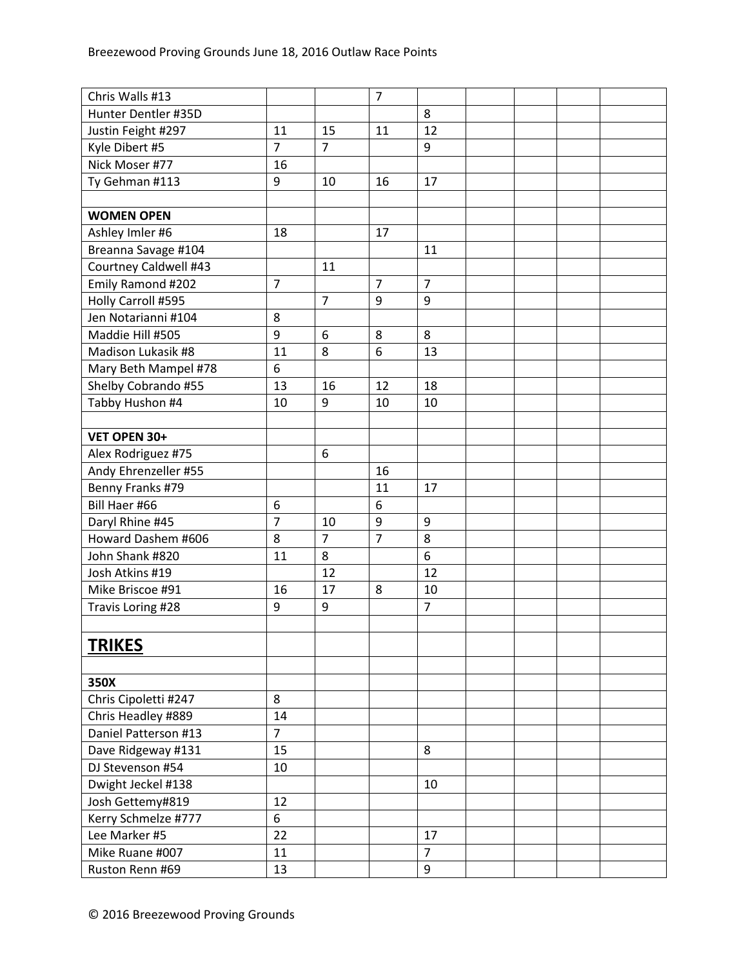| Chris Walls #13       |                  |                | $\overline{7}$ |                |  |  |
|-----------------------|------------------|----------------|----------------|----------------|--|--|
| Hunter Dentler #35D   |                  |                |                | 8              |  |  |
| Justin Feight #297    | 11               | 15             | 11             | 12             |  |  |
| Kyle Dibert #5        | $\overline{7}$   | $\overline{7}$ |                | 9              |  |  |
| Nick Moser #77        | 16               |                |                |                |  |  |
| Ty Gehman #113        | 9                | 10             | 16             | 17             |  |  |
|                       |                  |                |                |                |  |  |
| <b>WOMEN OPEN</b>     |                  |                |                |                |  |  |
| Ashley Imler #6       | 18               |                | 17             |                |  |  |
| Breanna Savage #104   |                  |                |                | 11             |  |  |
| Courtney Caldwell #43 |                  | 11             |                |                |  |  |
| Emily Ramond #202     | $\overline{7}$   |                | $\overline{7}$ | $\overline{7}$ |  |  |
| Holly Carroll #595    |                  | $\overline{7}$ | 9              | 9              |  |  |
| Jen Notarianni #104   | 8                |                |                |                |  |  |
| Maddie Hill #505      | 9                | 6              | 8              | 8              |  |  |
| Madison Lukasik #8    | 11               | 8              | 6              | 13             |  |  |
| Mary Beth Mampel #78  | 6                |                |                |                |  |  |
| Shelby Cobrando #55   | 13               | 16             | 12             | 18             |  |  |
| Tabby Hushon #4       | 10               | 9              | 10             | 10             |  |  |
|                       |                  |                |                |                |  |  |
| VET OPEN 30+          |                  |                |                |                |  |  |
| Alex Rodriguez #75    |                  | 6              |                |                |  |  |
| Andy Ehrenzeller #55  |                  |                | 16             |                |  |  |
| Benny Franks #79      |                  |                | 11             | 17             |  |  |
| Bill Haer #66         | $\boldsymbol{6}$ |                | 6              |                |  |  |
| Daryl Rhine #45       | $\overline{7}$   | 10             | 9              | 9              |  |  |
| Howard Dashem #606    | 8                | $\overline{7}$ | $\overline{7}$ | 8              |  |  |
| John Shank #820       | 11               | 8              |                | 6              |  |  |
| Josh Atkins #19       |                  | 12             |                | 12             |  |  |
| Mike Briscoe #91      | 16               | 17             | 8              | 10             |  |  |
| Travis Loring #28     | 9                | 9              |                | $\overline{7}$ |  |  |
|                       |                  |                |                |                |  |  |
|                       |                  |                |                |                |  |  |
| <b>TRIKES</b>         |                  |                |                |                |  |  |
|                       |                  |                |                |                |  |  |
| 350X                  |                  |                |                |                |  |  |
| Chris Cipoletti #247  | 8                |                |                |                |  |  |
| Chris Headley #889    | 14               |                |                |                |  |  |
| Daniel Patterson #13  | $\overline{7}$   |                |                |                |  |  |
| Dave Ridgeway #131    | 15               |                |                | 8              |  |  |
| DJ Stevenson #54      | 10               |                |                |                |  |  |
| Dwight Jeckel #138    |                  |                |                | 10             |  |  |
| Josh Gettemy#819      | 12               |                |                |                |  |  |
| Kerry Schmelze #777   | 6                |                |                |                |  |  |
| Lee Marker #5         | 22               |                |                | 17             |  |  |
| Mike Ruane #007       | 11               |                |                | $\overline{7}$ |  |  |
| Ruston Renn #69       | 13               |                |                | 9              |  |  |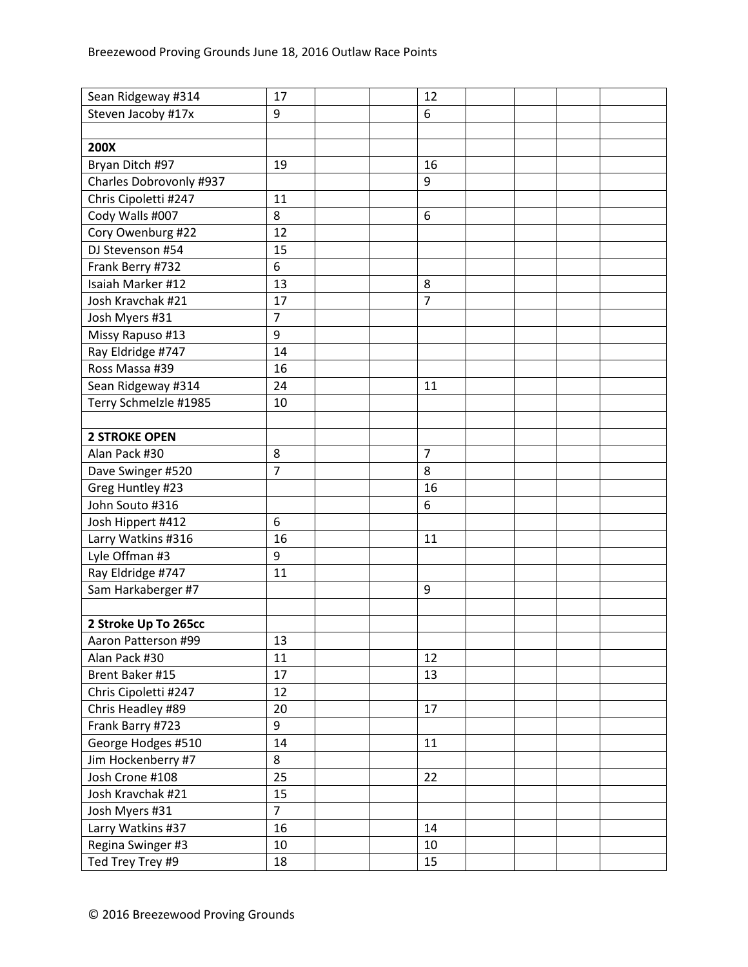| Sean Ridgeway #314      | 17             | 12             |  |  |
|-------------------------|----------------|----------------|--|--|
| Steven Jacoby #17x      | 9              | 6              |  |  |
|                         |                |                |  |  |
| 200X                    |                |                |  |  |
| Bryan Ditch #97         | 19             | 16             |  |  |
| Charles Dobrovonly #937 |                | 9              |  |  |
| Chris Cipoletti #247    | 11             |                |  |  |
| Cody Walls #007         | 8              | 6              |  |  |
| Cory Owenburg #22       | 12             |                |  |  |
| DJ Stevenson #54        | 15             |                |  |  |
| Frank Berry #732        | 6              |                |  |  |
| Isaiah Marker #12       | 13             | 8              |  |  |
| Josh Kravchak #21       | 17             | $\overline{7}$ |  |  |
| Josh Myers #31          | $\overline{7}$ |                |  |  |
| Missy Rapuso #13        | 9              |                |  |  |
| Ray Eldridge #747       | 14             |                |  |  |
| Ross Massa #39          | 16             |                |  |  |
| Sean Ridgeway #314      | 24             | 11             |  |  |
| Terry Schmelzle #1985   | 10             |                |  |  |
|                         |                |                |  |  |
| <b>2 STROKE OPEN</b>    |                |                |  |  |
| Alan Pack #30           | 8              | $\overline{7}$ |  |  |
| Dave Swinger #520       | $\overline{7}$ | 8              |  |  |
| Greg Huntley #23        |                | 16             |  |  |
| John Souto #316         |                | 6              |  |  |
| Josh Hippert #412       | 6              |                |  |  |
| Larry Watkins #316      | 16             | 11             |  |  |
| Lyle Offman #3          | 9              |                |  |  |
| Ray Eldridge #747       | 11             |                |  |  |
| Sam Harkaberger #7      |                | 9              |  |  |
|                         |                |                |  |  |
| 2 Stroke Up To 265cc    |                |                |  |  |
| Aaron Patterson #99     | 13             |                |  |  |
| Alan Pack #30           | 11             | 12             |  |  |
| Brent Baker #15         | 17             | 13             |  |  |
| Chris Cipoletti #247    | 12             |                |  |  |
| Chris Headley #89       | 20             | 17             |  |  |
| Frank Barry #723        | 9              |                |  |  |
| George Hodges #510      | 14             | 11             |  |  |
| Jim Hockenberry #7      | 8              |                |  |  |
| Josh Crone #108         | 25             | 22             |  |  |
| Josh Kravchak #21       | 15             |                |  |  |
| Josh Myers #31          | $\overline{7}$ |                |  |  |
| Larry Watkins #37       | 16             | 14             |  |  |
| Regina Swinger #3       | 10             | 10             |  |  |
| Ted Trey Trey #9        | 18             | 15             |  |  |